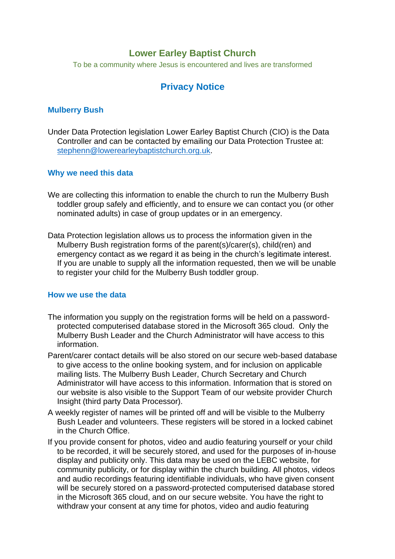## **Lower Earley Baptist Church**

To be a community where Jesus is encountered and lives are transformed

# **Privacy Notice**

### **Mulberry Bush**

Under Data Protection legislation Lower Earley Baptist Church (CIO) is the Data Controller and can be contacted by emailing our Data Protection Trustee at: [stephenn@lowerearleybaptistchurch.org.uk.](mailto:stephenn@lowerearleybaptistchurch.org.uk)

#### **Why we need this data**

- We are collecting this information to enable the church to run the Mulberry Bush toddler group safely and efficiently, and to ensure we can contact you (or other nominated adults) in case of group updates or in an emergency.
- Data Protection legislation allows us to process the information given in the Mulberry Bush registration forms of the parent(s)/carer(s), child(ren) and emergency contact as we regard it as being in the church's legitimate interest. If you are unable to supply all the information requested, then we will be unable to register your child for the Mulberry Bush toddler group.

#### **How we use the data**

- The information you supply on the registration forms will be held on a passwordprotected computerised database stored in the Microsoft 365 cloud. Only the Mulberry Bush Leader and the Church Administrator will have access to this information.
- Parent/carer contact details will be also stored on our secure web-based database to give access to the online booking system, and for inclusion on applicable mailing lists. The Mulberry Bush Leader, Church Secretary and Church Administrator will have access to this information. Information that is stored on our website is also visible to the Support Team of our website provider Church Insight (third party Data Processor).
- A weekly register of names will be printed off and will be visible to the Mulberry Bush Leader and volunteers. These registers will be stored in a locked cabinet in the Church Office.
- If you provide consent for photos, video and audio featuring yourself or your child to be recorded, it will be securely stored, and used for the purposes of in-house display and publicity only. This data may be used on the LEBC website, for community publicity, or for display within the church building. All photos, videos and audio recordings featuring identifiable individuals, who have given consent will be securely stored on a password-protected computerised database stored in the Microsoft 365 cloud, and on our secure website. You have the right to withdraw your consent at any time for photos, video and audio featuring